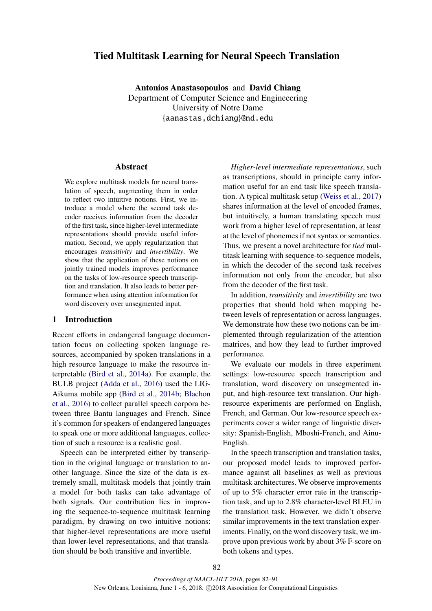# Tied Multitask Learning for Neural Speech Translation

Antonios Anastasopoulos and David Chiang Department of Computer Science and Engineeering University of Notre Dame {aanastas,dchiang}@nd.edu

## Abstract

We explore multitask models for neural translation of speech, augmenting them in order to reflect two intuitive notions. First, we introduce a model where the second task decoder receives information from the decoder of the first task, since higher-level intermediate representations should provide useful information. Second, we apply regularization that encourages *transitivity* and *invertibility*. We show that the application of these notions on jointly trained models improves performance on the tasks of low-resource speech transcription and translation. It also leads to better performance when using attention information for word discovery over unsegmented input.

## 1 Introduction

Recent efforts in endangered language documentation focus on collecting spoken language resources, accompanied by spoken translations in a high resource language to make the resource interpretable (Bird et al., 2014a). For example, the BULB project (Adda et al., 2016) used the LIG-Aikuma mobile app (Bird et al., 2014b; Blachon et al., 2016) to collect parallel speech corpora between three Bantu languages and French. Since it's common for speakers of endangered languages to speak one or more additional languages, collection of such a resource is a realistic goal.

Speech can be interpreted either by transcription in the original language or translation to another language. Since the size of the data is extremely small, multitask models that jointly train a model for both tasks can take advantage of both signals. Our contribution lies in improving the sequence-to-sequence multitask learning paradigm, by drawing on two intuitive notions: that higher-level representations are more useful than lower-level representations, and that translation should be both transitive and invertible.

*Higher-level intermediate representations*, such as transcriptions, should in principle carry information useful for an end task like speech translation. A typical multitask setup (Weiss et al., 2017) shares information at the level of encoded frames, but intuitively, a human translating speech must work from a higher level of representation, at least at the level of phonemes if not syntax or semantics. Thus, we present a novel architecture for *tied* multitask learning with sequence-to-sequence models, in which the decoder of the second task receives information not only from the encoder, but also from the decoder of the first task.

In addition, *transitivity* and *invertibility* are two properties that should hold when mapping between levels of representation or across languages. We demonstrate how these two notions can be implemented through regularization of the attention matrices, and how they lead to further improved performance.

We evaluate our models in three experiment settings: low-resource speech transcription and translation, word discovery on unsegmented input, and high-resource text translation. Our highresource experiments are performed on English, French, and German. Our low-resource speech experiments cover a wider range of linguistic diversity: Spanish-English, Mboshi-French, and Ainu-English.

In the speech transcription and translation tasks, our proposed model leads to improved performance against all baselines as well as previous multitask architectures. We observe improvements of up to 5% character error rate in the transcription task, and up to 2.8% character-level BLEU in the translation task. However, we didn't observe similar improvements in the text translation experiments. Finally, on the word discovery task, we improve upon previous work by about 3% F-score on both tokens and types.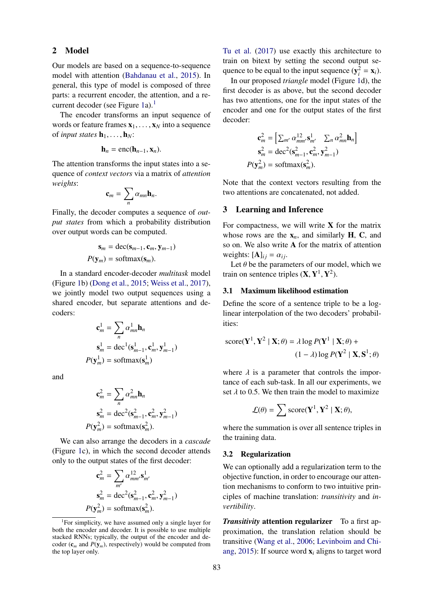#### 2 Model

Our models are based on a sequence-to-sequence model with attention (Bahdanau et al., 2015). In general, this type of model is composed of three parts: a recurrent encoder, the attention, and a recurrent decoder (see Figure 1a).<sup>1</sup>

The encoder transforms an input sequence of words or feature frames  $x_1, \ldots, x_N$  into a sequence of *input states*  $\mathbf{h}_1, \ldots, \mathbf{h}_N$ :

$$
\mathbf{h}_n = \mathrm{enc}(\mathbf{h}_{n-1}, \mathbf{x}_n).
$$

The attention transforms the input states into a sequence of *context vectors* via a matrix of *attention weights*:

$$
\mathbf{c}_m = \sum_n \alpha_{mn} \mathbf{h}_n.
$$

Finally, the decoder computes a sequence of *output states* from which a probability distribution over output words can be computed.

$$
\mathbf{s}_m = \text{dec}(\mathbf{s}_{m-1}, \mathbf{c}_m, \mathbf{y}_{m-1})
$$

$$
P(\mathbf{y}_m) = \text{softmax}(\mathbf{s}_m).
$$

In a standard encoder-decoder *multitask* model (Figure 1b) (Dong et al., 2015; Weiss et al., 2017), we jointly model two output sequences using a shared encoder, but separate attentions and decoders:

$$
\mathbf{c}_m^1 = \sum_n \alpha_{mn}^1 \mathbf{h}_n
$$
  
\n
$$
\mathbf{s}_m^1 = \text{dec}^1(\mathbf{s}_{m-1}^1, \mathbf{c}_m^1, \mathbf{y}_{m-1}^1)
$$
  
\n
$$
P(\mathbf{y}_m^1) = \text{softmax}(\mathbf{s}_m^1)
$$

and

$$
\mathbf{c}_m^2 = \sum_n \alpha_{mn}^2 \mathbf{h}_n
$$
  
\n
$$
\mathbf{s}_m^2 = \text{dec}^2(\mathbf{s}_{m-1}^2, \mathbf{c}_m^2, \mathbf{y}_{m-1}^2)
$$
  
\n
$$
P(\mathbf{y}_m^2) = \text{softmax}(\mathbf{s}_m^2).
$$

We can also arrange the decoders in a *cascade* (Figure 1c), in which the second decoder attends only to the output states of the first decoder:

$$
\mathbf{c}_{m}^{2} = \sum_{m'} \alpha_{mm'}^{12} \mathbf{s}_{m'}^{1}
$$

$$
\mathbf{s}_{m}^{2} = \text{dec}^{2}(\mathbf{s}_{m-1}^{2}, \mathbf{c}_{m}^{2}, \mathbf{y}_{m-1}^{2})
$$

$$
P(\mathbf{y}_{m}^{2}) = \text{softmax}(\mathbf{s}_{m}^{2}).
$$

Tu et al. (2017) use exactly this architecture to train on bitext by setting the second output sequence to be equal to the input sequence  $(\mathbf{y}_i^2 = \mathbf{x}_i)$ .

In our proposed *triangle* model (Figure 1d), the first decoder is as above, but the second decoder has two attentions, one for the input states of the encoder and one for the output states of the first decoder:

$$
\mathbf{c}_m^2 = \left[ \sum_{m'} \alpha_{mm'}^{12} \mathbf{s}_{m'}^1 \quad \sum_n \alpha_{mn}^2 \mathbf{h}_n \right]
$$

$$
\mathbf{s}_m^2 = \text{dec}^2(\mathbf{s}_{m-1}^2, \mathbf{c}_m^2, \mathbf{y}_{m-1}^2)
$$

$$
(\mathbf{y}_m^2) = \text{softmax}(\mathbf{s}_m^2).
$$

Note that the context vectors resulting from the two attentions are concatenated, not added.

## 3 Learning and Inference

 $\overline{p}$ 

For compactness, we will write  $X$  for the matrix whose rows are the  $x_n$ , and similarly  $H$ ,  $C$ , and so on. We also write A for the matrix of attention weights:  $[A]_{ij} = \alpha_{ij}$ .

Let  $\theta$  be the parameters of our model, which we train on sentence triples  $(X, Y^1, Y^2)$ .

#### 3.1 Maximum likelihood estimation

Define the score of a sentence triple to be a loglinear interpolation of the two decoders' probabilities:

score(
$$
\mathbf{Y}^1
$$
,  $\mathbf{Y}^2 | \mathbf{X}; \theta$ ) =  $\lambda \log P(\mathbf{Y}^1 | \mathbf{X}; \theta)$  +  
(1 –  $\lambda$ ) log  $P(\mathbf{Y}^2 | \mathbf{X}, \mathbf{S}^1; \theta)$ 

where  $\lambda$  is a parameter that controls the importance of each sub-task. In all our experiments, we set  $\lambda$  to 0.5. We then train the model to maximize

$$
\mathcal{L}(\theta) = \sum \text{score}(\mathbf{Y}^1, \mathbf{Y}^2 \mid \mathbf{X}; \theta),
$$

where the summation is over all sentence triples in the training data.

#### 3.2 Regularization

We can optionally add a regularization term to the objective function, in order to encourage our attention mechanisms to conform to two intuitive principles of machine translation: *transitivity* and *invertibility*.

*Transitivity* attention regularizer To a first approximation, the translation relation should be transitive (Wang et al., 2006; Levinboim and Chiang, 2015): If source word x*<sup>i</sup>* aligns to target word

<sup>&</sup>lt;sup>1</sup>For simplicity, we have assumed only a single layer for both the encoder and decoder. It is possible to use multiple stacked RNNs; typically, the output of the encoder and decoder  $(c_m$  and  $P(y_m)$ , respectively) would be computed from the top layer only.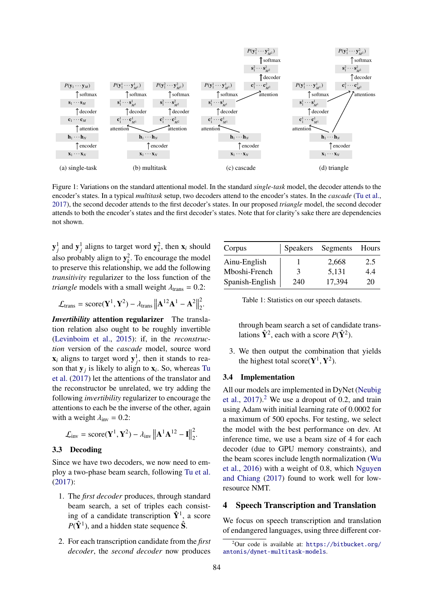

Figure 1: Variations on the standard attentional model. In the standard *single-task* model, the decoder attends to the encoder's states. In a typical *multitask* setup, two decoders attend to the encoder's states. In the *cascade* (Tu et al., 2017), the second decoder attends to the first decoder's states. In our proposed *triangle* model, the second decoder attends to both the encoder's states and the first decoder's states. Note that for clarity's sake there are dependencies not shown.

 $\mathbf{y}_j^1$  and  $\mathbf{y}_j^1$  aligns to target word  $\mathbf{y}_k^2$ , then  $\mathbf{x}_i$  should also probably align to  $y_k^2$ . To encourage the model to preserve this relationship, we add the following *transitivity* regularizer to the loss function of the *triangle* models with a small weight  $\lambda_{trans} = 0.2$ :

$$
\mathcal{L}_{trans} = score(\mathbf{Y}^1, \mathbf{Y}^2) - \lambda_{trans} ||\mathbf{A}^{12}\mathbf{A}^1 - \mathbf{A}^2||_2^2.
$$

*Invertibility* attention regularizer The translation relation also ought to be roughly invertible (Levinboim et al., 2015): if, in the *reconstruction* version of the *cascade* model, source word  $\mathbf{x}_i$  aligns to target word  $\mathbf{y}_j^1$ , then it stands to reason that  $y_j$  is likely to align to  $x_i$ . So, whereas Tu et al. (2017) let the attentions of the translator and the reconstructor be unrelated, we try adding the following *invertibility* regularizer to encourage the attentions to each be the inverse of the other, again with a weight  $\lambda_{\text{inv}} = 0.2$ :

$$
\mathcal{L}_{\text{inv}} = \text{score}(\mathbf{Y}^1, \mathbf{Y}^2) - \lambda_{\text{inv}} \left\| \mathbf{A}^1 \mathbf{A}^{12} - \mathbf{I} \right\|_2^2.
$$

### 3.3 Decoding

Since we have two decoders, we now need to employ a two-phase beam search, following Tu et al. (2017):

- 1. The *first decoder* produces, through standard beam search, a set of triples each consisting of a candidate transcription  $\hat{Y}^1$ , a score  $P(\hat{Y}^1)$ , and a hidden state sequence  $\hat{S}$ .
- 2. For each transcription candidate from the *first decoder*, the *second decoder* now produces

| Corpus          | <b>Speakers</b> | Segments | Hours |  |
|-----------------|-----------------|----------|-------|--|
| Ainu-English    |                 | 2,668    | 2.5   |  |
| Mboshi-French   | 3               | 5,131    | 4.4   |  |
| Spanish-English | 240             | 17,394   | 20    |  |

Table 1: Statistics on our speech datasets.

through beam search a set of candidate translations  $\hat{Y}^2$ , each with a score  $P(\hat{Y}^2)$ .

3. We then output the combination that yields the highest total score( $Y^1$ ,  $Y^2$ ).

#### 3.4 Implementation

All our models are implemented in DyNet (Neubig et al.,  $2017$ ).<sup>2</sup> We use a dropout of 0.2, and train using Adam with initial learning rate of 0.0002 for a maximum of 500 epochs. For testing, we select the model with the best performance on dev. At inference time, we use a beam size of 4 for each decoder (due to GPU memory constraints), and the beam scores include length normalization (Wu et al., 2016) with a weight of 0.8, which Nguyen and Chiang (2017) found to work well for lowresource NMT.

## 4 Speech Transcription and Translation

We focus on speech transcription and translation of endangered languages, using three different cor-

 $^{2}$ Our code is available at: https://bitbucket.org/ antonis/dynet-multitask-models.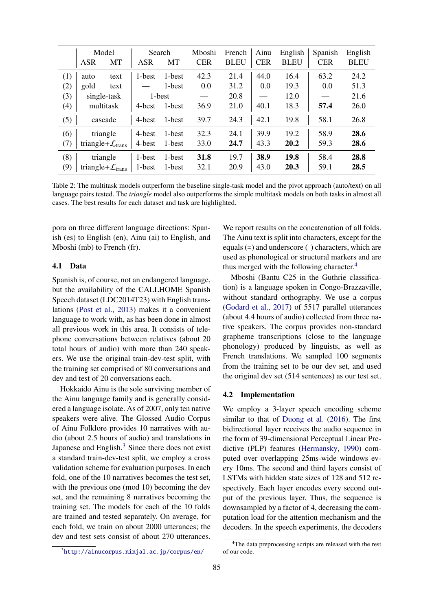|     | Model       |                                 | Search     |        | Mboshi     | French      | Ainu       | English     | Spanish    | English     |
|-----|-------------|---------------------------------|------------|--------|------------|-------------|------------|-------------|------------|-------------|
|     | <b>ASR</b>  | MT                              | <b>ASR</b> | MT     | <b>CER</b> | <b>BLEU</b> | <b>CER</b> | <b>BLEU</b> | <b>CER</b> | <b>BLEU</b> |
| (1) | auto        | text                            | 1-best     | 1-best | 42.3       | 21.4        | 44.0       | 16.4        | 63.2       | 24.2        |
| (2) | gold        | text                            |            | 1-best | 0.0        | 31.2        | 0.0        | 19.3        | 0.0        | 51.3        |
| (3) | single-task |                                 | 1-best     |        |            | 20.8        |            | 12.0        |            | 21.6        |
| (4) |             | multitask                       | 4-best     | 1-best | 36.9       | 21.0        | 40.1       | 18.3        | 57.4       | 26.0        |
| (5) |             | cascade                         | 4-best     | 1-best | 39.7       | 24.3        | 42.1       | 19.8        | 58.1       | 26.8        |
| (6) |             | triangle                        | 4-best     | 1-best | 32.3       | 24.1        | 39.9       | 19.2        | 58.9       | 28.6        |
| (7) |             | triangle+ $\mathcal{L}_{trans}$ | 4-best     | 1-best | 33.0       | 24.7        | 43.3       | 20.2        | 59.3       | 28.6        |
| (8) |             | triangle                        | 1-best     | 1-best | 31.8       | 19.7        | 38.9       | 19.8        | 58.4       | 28.8        |
| (9) |             | triangle+ $\mathcal{L}_{trans}$ | 1-best     | 1-best | 32.1       | 20.9        | 43.0       | 20.3        | 59.1       | 28.5        |

Table 2: The multitask models outperform the baseline single-task model and the pivot approach (auto/text) on all language pairs tested. The *triangle* model also outperforms the simple multitask models on both tasks in almost all cases. The best results for each dataset and task are highlighted.

pora on three different language directions: Spanish (es) to English (en), Ainu (ai) to English, and Mboshi (mb) to French (fr).

#### 4.1 Data

Spanish is, of course, not an endangered language, but the availability of the CALLHOME Spanish Speech dataset (LDC2014T23) with English translations (Post et al., 2013) makes it a convenient language to work with, as has been done in almost all previous work in this area. It consists of telephone conversations between relatives (about 20 total hours of audio) with more than 240 speakers. We use the original train-dev-test split, with the training set comprised of 80 conversations and dev and test of 20 conversations each.

Hokkaido Ainu is the sole surviving member of the Ainu language family and is generally considered a language isolate. As of 2007, only ten native speakers were alive. The Glossed Audio Corpus of Ainu Folklore provides 10 narratives with audio (about 2.5 hours of audio) and translations in Japanese and English.<sup>3</sup> Since there does not exist a standard train-dev-test split, we employ a cross validation scheme for evaluation purposes. In each fold, one of the 10 narratives becomes the test set, with the previous one (mod 10) becoming the dev set, and the remaining 8 narratives becoming the training set. The models for each of the 10 folds are trained and tested separately. On average, for each fold, we train on about 2000 utterances; the dev and test sets consist of about 270 utterances.

We report results on the concatenation of all folds. The Ainu text is split into characters, except for the equals  $(=)$  and underscore  $($   $)$  characters, which are used as phonological or structural markers and are thus merged with the following character.<sup>4</sup>

Mboshi (Bantu C25 in the Guthrie classification) is a language spoken in Congo-Brazzaville, without standard orthography. We use a corpus (Godard et al., 2017) of 5517 parallel utterances (about 4.4 hours of audio) collected from three native speakers. The corpus provides non-standard grapheme transcriptions (close to the language phonology) produced by linguists, as well as French translations. We sampled 100 segments from the training set to be our dev set, and used the original dev set (514 sentences) as our test set.

## 4.2 Implementation

We employ a 3-layer speech encoding scheme similar to that of Duong et al. (2016). The first bidirectional layer receives the audio sequence in the form of 39-dimensional Perceptual Linear Predictive (PLP) features (Hermansky, 1990) computed over overlapping 25ms-wide windows every 10ms. The second and third layers consist of LSTMs with hidden state sizes of 128 and 512 respectively. Each layer encodes every second output of the previous layer. Thus, the sequence is downsampled by a factor of 4, decreasing the computation load for the attention mechanism and the decoders. In the speech experiments, the decoders

<sup>3</sup>http://ainucorpus.ninjal.ac.jp/corpus/en/

<sup>4</sup>The data preprocessing scripts are released with the rest of our code.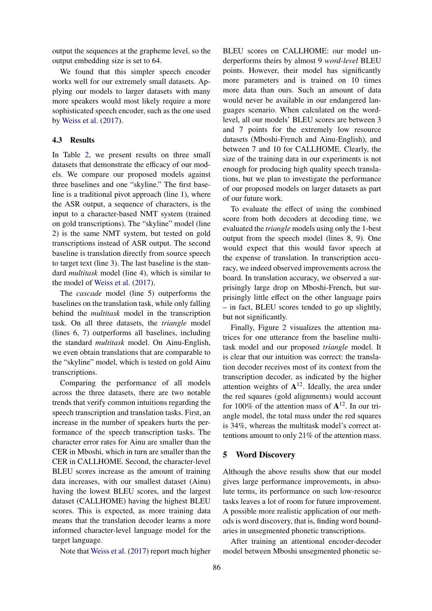output the sequences at the grapheme level, so the output embedding size is set to 64.

We found that this simpler speech encoder works well for our extremely small datasets. Applying our models to larger datasets with many more speakers would most likely require a more sophisticated speech encoder, such as the one used by Weiss et al. (2017).

## 4.3 Results

In Table 2, we present results on three small datasets that demonstrate the efficacy of our models. We compare our proposed models against three baselines and one "skyline." The first baseline is a traditional pivot approach (line 1), where the ASR output, a sequence of characters, is the input to a character-based NMT system (trained on gold transcriptions). The "skyline" model (line 2) is the same NMT system, but tested on gold transcriptions instead of ASR output. The second baseline is translation directly from source speech to target text (line 3). The last baseline is the standard *multitask* model (line 4), which is similar to the model of Weiss et al. (2017).

The *cascade* model (line 5) outperforms the baselines on the translation task, while only falling behind the *multitask* model in the transcription task. On all three datasets, the *triangle* model (lines 6, 7) outperforms all baselines, including the standard *multitask* model. On Ainu-English, we even obtain translations that are comparable to the "skyline" model, which is tested on gold Ainu transcriptions.

Comparing the performance of all models across the three datasets, there are two notable trends that verify common intuitions regarding the speech transcription and translation tasks. First, an increase in the number of speakers hurts the performance of the speech transcription tasks. The character error rates for Ainu are smaller than the CER in Mboshi, which in turn are smaller than the CER in CALLHOME. Second, the character-level BLEU scores increase as the amount of training data increases, with our smallest dataset (Ainu) having the lowest BLEU scores, and the largest dataset (CALLHOME) having the highest BLEU scores. This is expected, as more training data means that the translation decoder learns a more informed character-level language model for the target language.

Note that Weiss et al. (2017) report much higher

BLEU scores on CALLHOME: our model underperforms theirs by almost 9 *word-level* BLEU points. However, their model has significantly more parameters and is trained on 10 times more data than ours. Such an amount of data would never be available in our endangered languages scenario. When calculated on the wordlevel, all our models' BLEU scores are between 3 and 7 points for the extremely low resource datasets (Mboshi-French and Ainu-English), and between 7 and 10 for CALLHOME. Clearly, the size of the training data in our experiments is not enough for producing high quality speech translations, but we plan to investigate the performance of our proposed models on larger datasets as part of our future work.

To evaluate the effect of using the combined score from both decoders at decoding time, we evaluated the *triangle* models using only the 1-best output from the speech model (lines 8, 9). One would expect that this would favor speech at the expense of translation. In transcription accuracy, we indeed observed improvements across the board. In translation accuracy, we observed a surprisingly large drop on Mboshi-French, but surprisingly little effect on the other language pairs – in fact, BLEU scores tended to go up slightly, but not significantly.

Finally, Figure 2 visualizes the attention matrices for one utterance from the baseline multitask model and our proposed *triangle* model. It is clear that our intuition was correct: the translation decoder receives most of its context from the transcription decoder, as indicated by the higher attention weights of  $A^{12}$ . Ideally, the area under the red squares (gold alignments) would account for 100% of the attention mass of  $A^{12}$ . In our triangle model, the total mass under the red squares is 34%, whereas the multitask model's correct attentions amount to only 21% of the attention mass.

## 5 Word Discovery

Although the above results show that our model gives large performance improvements, in absolute terms, its performance on such low-resource tasks leaves a lot of room for future improvement. A possible more realistic application of our methods is word discovery, that is, finding word boundaries in unsegmented phonetic transcriptions.

After training an attentional encoder-decoder model between Mboshi unsegmented phonetic se-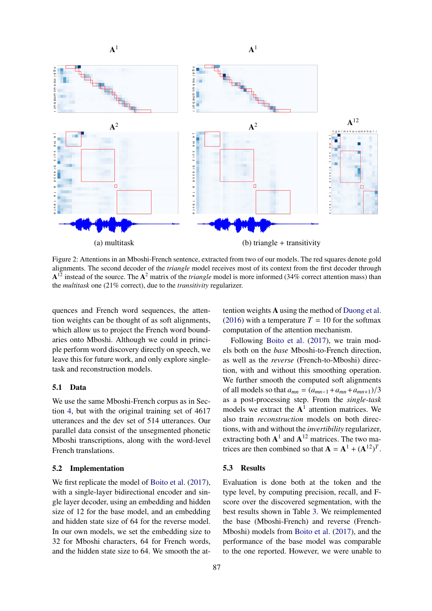

Figure 2: Attentions in an Mboshi-French sentence, extracted from two of our models. The red squares denote gold alignments. The second decoder of the *triangle* model receives most of its context from the first decoder through  $A^{12}$  instead of the source. The  $A^2$  matrix of the *triangle* model is more informed (34% correct attention mass) than the *multitask* one (21% correct), due to the *transitivity* regularizer.

quences and French word sequences, the attention weights can be thought of as soft alignments, which allow us to project the French word boundaries onto Mboshi. Although we could in principle perform word discovery directly on speech, we leave this for future work, and only explore singletask and reconstruction models.

## 5.1 Data

We use the same Mboshi-French corpus as in Section 4, but with the original training set of 4617 utterances and the dev set of 514 utterances. Our parallel data consist of the unsegmented phonetic Mboshi transcriptions, along with the word-level French translations.

#### 5.2 Implementation

We first replicate the model of Boito et al. (2017), with a single-layer bidirectional encoder and single layer decoder, using an embedding and hidden size of 12 for the base model, and an embedding and hidden state size of 64 for the reverse model. In our own models, we set the embedding size to 32 for Mboshi characters, 64 for French words, and the hidden state size to 64. We smooth the attention weights A using the method of Duong et al. (2016) with a temperature  $T = 10$  for the softmax computation of the attention mechanism.

Following Boito et al. (2017), we train models both on the *base* Mboshi-to-French direction, as well as the *reverse* (French-to-Mboshi) direction, with and without this smoothing operation. We further smooth the computed soft alignments of all models so that  $a_{mn} = (a_{mn-1} + a_{mn} + a_{mn+1})/3$ as a post-processing step. From the *single-task* models we extract the  $A<sup>1</sup>$  attention matrices. We also train *reconstruction* models on both directions, with and without the *invertibility* regularizer, extracting both  $A^1$  and  $A^{12}$  matrices. The two matrices are then combined so that  $\mathbf{A} = \mathbf{A}^1 + (\mathbf{A}^{12})^T$ .

#### 5.3 Results

Evaluation is done both at the token and the type level, by computing precision, recall, and Fscore over the discovered segmentation, with the best results shown in Table 3. We reimplemented the base (Mboshi-French) and reverse (French-Mboshi) models from Boito et al. (2017), and the performance of the base model was comparable to the one reported. However, we were unable to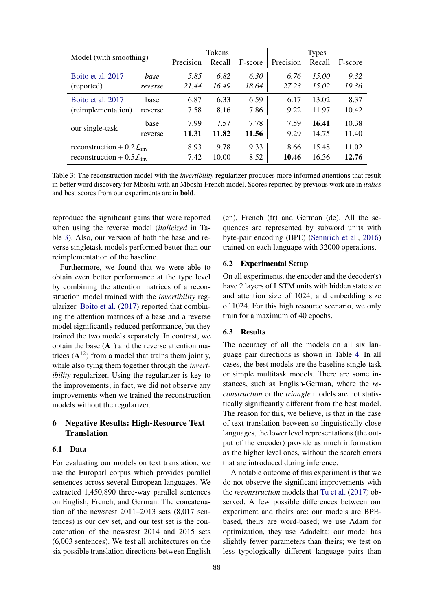| Model (with smoothing)                  |         |           | <b>Tokens</b> |         | <b>Types</b> |        |         |
|-----------------------------------------|---------|-----------|---------------|---------|--------------|--------|---------|
|                                         |         | Precision | Recall        | F-score | Precision    | Recall | F-score |
| Boito et al. 2017                       | base    | 5.85      | 6.82          | 6.30    | 6.76         | 15.00  | 9.32    |
| (reported)                              | reverse | 21.44     | 16.49         | 18.64   | 27.23        | 15.02  | 19.36   |
| Boito et al. 2017                       | base    | 6.87      | 6.33          | 6.59    | 6.17         | 13.02  | 8.37    |
| (reimplementation)                      | reverse | 7.58      | 8.16          | 7.86    | 9.22         | 11.97  | 10.42   |
| our single-task                         | base    | 7.99      | 7.57          | 7.78    | 7.59         | 16.41  | 10.38   |
|                                         | reverse | 11.31     | 11.82         | 11.56   | 9.29         | 14.75  | 11.40   |
| reconstruction + $0.2\mathcal{L}_{inv}$ |         | 8.93      | 9.78          | 9.33    | 8.66         | 15.48  | 11.02   |
| reconstruction + $0.5\mathcal{L}_{inv}$ |         | 7.42      | 10.00         | 8.52    | 10.46        | 16.36  | 12.76   |

Table 3: The reconstruction model with the *invertibility* regularizer produces more informed attentions that result in better word discovery for Mboshi with an Mboshi-French model. Scores reported by previous work are in *italics* and best scores from our experiments are in bold.

reproduce the significant gains that were reported when using the reverse model (*italicized* in Table 3). Also, our version of both the base and reverse singletask models performed better than our reimplementation of the baseline.

Furthermore, we found that we were able to obtain even better performance at the type level by combining the attention matrices of a reconstruction model trained with the *invertibility* regularizer. Boito et al. (2017) reported that combining the attention matrices of a base and a reverse model significantly reduced performance, but they trained the two models separately. In contrast, we obtain the base  $(A<sup>1</sup>)$  and the reverse attention matrices  $(A^{12})$  from a model that trains them jointly, while also tying them together through the *invertibility* regularizer. Using the regularizer is key to the improvements; in fact, we did not observe any improvements when we trained the reconstruction models without the regularizer.

## 6 Negative Results: High-Resource Text **Translation**

## 6.1 Data

For evaluating our models on text translation, we use the Europarl corpus which provides parallel sentences across several European languages. We extracted 1,450,890 three-way parallel sentences on English, French, and German. The concatenation of the newstest 2011–2013 sets (8,017 sentences) is our dev set, and our test set is the concatenation of the newstest 2014 and 2015 sets (6,003 sentences). We test all architectures on the six possible translation directions between English (en), French (fr) and German (de). All the sequences are represented by subword units with byte-pair encoding (BPE) (Sennrich et al., 2016) trained on each language with 32000 operations.

#### 6.2 Experimental Setup

On all experiments, the encoder and the decoder(s) have 2 layers of LSTM units with hidden state size and attention size of 1024, and embedding size of 1024. For this high resource scenario, we only train for a maximum of 40 epochs.

## 6.3 Results

The accuracy of all the models on all six language pair directions is shown in Table 4. In all cases, the best models are the baseline single-task or simple multitask models. There are some instances, such as English-German, where the *reconstruction* or the *triangle* models are not statistically significantly different from the best model. The reason for this, we believe, is that in the case of text translation between so linguistically close languages, the lower level representations (the output of the encoder) provide as much information as the higher level ones, without the search errors that are introduced during inference.

A notable outcome of this experiment is that we do not observe the significant improvements with the *reconstruction* models that Tu et al. (2017) observed. A few possible differences between our experiment and theirs are: our models are BPEbased, theirs are word-based; we use Adam for optimization, they use Adadelta; our model has slightly fewer parameters than theirs; we test on less typologically different language pairs than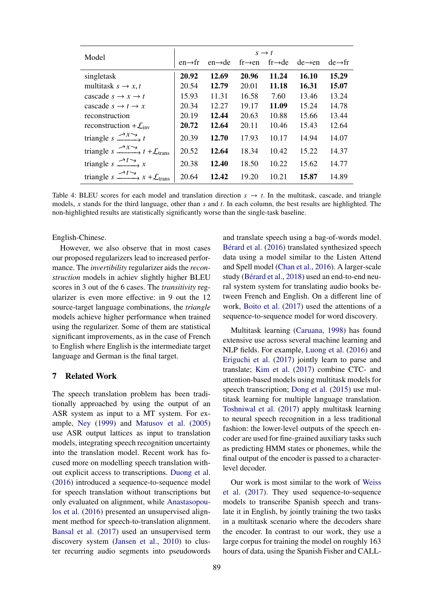|                                                                              | $s \rightarrow t$   |                     |                    |                     |                    |                     |  |  |
|------------------------------------------------------------------------------|---------------------|---------------------|--------------------|---------------------|--------------------|---------------------|--|--|
| Model                                                                        | $en \rightarrow fr$ | $en \rightarrow de$ | $fr\rightarrow en$ | $fr{\rightarrow}de$ | $de\rightarrow en$ | $de \rightarrow fr$ |  |  |
| singletask                                                                   | 20.92               | 12.69               | 20.96              | 11.24               | 16.10              | 15.29               |  |  |
| multitask $s \rightarrow x, t$                                               | 20.54               | 12.79               | 20.01              | 11.18               | 16.31              | 15.07               |  |  |
| cascade $s \to x \to t$                                                      | 15.93               | 11.31               | 16.58              | 7.60                | 13.46              | 13.24               |  |  |
| cascade $s \to t \to x$                                                      | 20.34               | 12.27               | 19.17              | 11.09               | 15.24              | 14.78               |  |  |
| reconstruction                                                               | 20.19               | 12.44               | 20.63              | 10.88               | 15.66              | 13.44               |  |  |
| reconstruction $+\mathcal{L}_{inv}$                                          | 20.72               | 12.64               | 20.11              | 10.46               | 15.43              | 12.64               |  |  |
| triangle $s \xrightarrow{\rightarrow} x \rightarrow t$                       | 20.39               | 12.70               | 17.93              | 10.17               | 14.94              | 14.07               |  |  |
| triangle $s \xrightarrow{\rightarrow} x \rightarrow t + \mathcal{L}_{trans}$ | 20.52               | 12.64               | 18.34              | 10.42               | 15.22              | 14.37               |  |  |
| triangle $s \xrightarrow{\rightarrow} t \rightarrow x$                       | 20.38               | 12.40               | 18.50              | 10.22               | 15.62              | 14.77               |  |  |
| triangle $s \xrightarrow{\rightarrow} t \rightarrow x + \mathcal{L}_{trans}$ | 20.64               | 12.42               | 19.20              | 10.21               | 15.87              | 14.89               |  |  |

Table 4: BLEU scores for each model and translation direction  $s \to t$ . In the multitask, cascade, and triangle models, *x* stands for the third language, other than *s* and *t*. In each column, the best results are highlighted. The non-highlighted results are statistically significantly worse than the single-task baseline.

English-Chinese.

However, we also observe that in most cases our proposed regularizers lead to increased performance. The *invertibility* regularizer aids the *reconstruction* models in achiev slightly higher BLEU scores in 3 out of the 6 cases. The *transitivity* regularizer is even more effective: in 9 out the 12 source-target language combinations, the *triangle* models achieve higher performance when trained using the regularizer. Some of them are statistical significant improvements, as in the case of French to English where English is the intermediate target language and German is the final target.

## 7 Related Work

The speech translation problem has been traditionally approached by using the output of an ASR system as input to a MT system. For example, Ney (1999) and Matusov et al. (2005) use ASR output lattices as input to translation models, integrating speech recognition uncertainty into the translation model. Recent work has focused more on modelling speech translation without explicit access to transcriptions. Duong et al. (2016) introduced a sequence-to-sequence model for speech translation without transcriptions but only evaluated on alignment, while Anastasopoulos et al. (2016) presented an unsupervised alignment method for speech-to-translation alignment. Bansal et al. (2017) used an unsupervised term discovery system (Jansen et al., 2010) to cluster recurring audio segments into pseudowords

and translate speech using a bag-of-words model. Bérard et al. (2016) translated synthesized speech data using a model similar to the Listen Attend and Spell model (Chan et al., 2016). A larger-scale study (Bérard et al., 2018) used an end-to-end neural system system for translating audio books between French and English. On a different line of work, Boito et al. (2017) used the attentions of a sequence-to-sequence model for word discovery.

Multitask learning (Caruana, 1998) has found extensive use across several machine learning and NLP fields. For example, Luong et al. (2016) and Eriguchi et al. (2017) jointly learn to parse and translate; Kim et al. (2017) combine CTC- and attention-based models using multitask models for speech transcription; Dong et al. (2015) use multitask learning for multiple language translation. Toshniwal et al. (2017) apply multitask learning to neural speech recognition in a less traditional fashion: the lower-level outputs of the speech encoder are used for fine-grained auxiliary tasks such as predicting HMM states or phonemes, while the final output of the encoder is passed to a characterlevel decoder.

Our work is most similar to the work of Weiss et al. (2017). They used sequence-to-sequence models to transcribe Spanish speech and translate it in English, by jointly training the two tasks in a multitask scenario where the decoders share the encoder. In contrast to our work, they use a large corpus for training the model on roughly 163 hours of data, using the Spanish Fisher and CALL-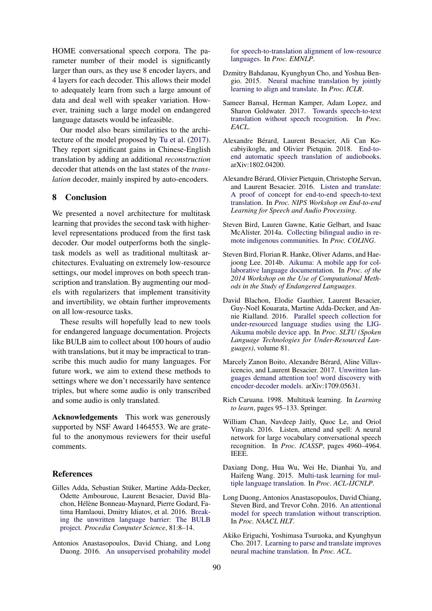HOME conversational speech corpora. The parameter number of their model is significantly larger than ours, as they use 8 encoder layers, and 4 layers for each decoder. This allows their model to adequately learn from such a large amount of data and deal well with speaker variation. However, training such a large model on endangered language datasets would be infeasible.

Our model also bears similarities to the architecture of the model proposed by Tu et al. (2017). They report significant gains in Chinese-English translation by adding an additional *reconstruction* decoder that attends on the last states of the *translation* decoder, mainly inspired by auto-encoders.

## 8 Conclusion

We presented a novel architecture for multitask learning that provides the second task with higherlevel representations produced from the first task decoder. Our model outperforms both the singletask models as well as traditional multitask architectures. Evaluating on extremely low-resource settings, our model improves on both speech transcription and translation. By augmenting our models with regularizers that implement transitivity and invertibility, we obtain further improvements on all low-resource tasks.

These results will hopefully lead to new tools for endangered language documentation. Projects like BULB aim to collect about 100 hours of audio with translations, but it may be impractical to transcribe this much audio for many languages. For future work, we aim to extend these methods to settings where we don't necessarily have sentence triples, but where some audio is only transcribed and some audio is only translated.

Acknowledgements This work was generously supported by NSF Award 1464553. We are grateful to the anonymous reviewers for their useful comments.

#### References

- Gilles Adda, Sebastian Stüker, Martine Adda-Decker, Odette Ambouroue, Laurent Besacier, David Blachon, Hélène Bonneau-Maynard, Pierre Godard, Fatima Hamlaoui, Dmitry Idiatov, et al. 2016. Breaking the unwritten language barrier: The BULB project. *Procedia Computer Science*, 81:8–14.
- Antonios Anastasopoulos, David Chiang, and Long Duong. 2016. An unsupervised probability model

for speech-to-translation alignment of low-resource languages. In *Proc. EMNLP*.

- Dzmitry Bahdanau, Kyunghyun Cho, and Yoshua Bengio. 2015. Neural machine translation by jointly learning to align and translate. In *Proc. ICLR*.
- Sameer Bansal, Herman Kamper, Adam Lopez, and Sharon Goldwater. 2017. Towards speech-to-text translation without speech recognition. In *Proc. EACL*.
- Alexandre Berard, Laurent Besacier, Ali Can Ko- ´ cabiyikoglu, and Olivier Pietquin. 2018. End-toend automatic speech translation of audiobooks. arXiv:1802.04200.
- Alexandre Bérard, Olivier Pietquin, Christophe Servan, and Laurent Besacier. 2016. Listen and translate: A proof of concept for end-to-end speech-to-text translation. In *Proc. NIPS Workshop on End-to-end Learning for Speech and Audio Processing*.
- Steven Bird, Lauren Gawne, Katie Gelbart, and Isaac McAlister. 2014a. Collecting bilingual audio in remote indigenous communities. In *Proc. COLING*.
- Steven Bird, Florian R. Hanke, Oliver Adams, and Haejoong Lee. 2014b. Aikuma: A mobile app for collaborative language documentation. In *Proc. of the 2014 Workshop on the Use of Computational Methods in the Study of Endangered Languages*.
- David Blachon, Elodie Gauthier, Laurent Besacier, Guy-Noël Kouarata, Martine Adda-Decker, and Annie Rialland. 2016. Parallel speech collection for under-resourced language studies using the LIG-Aikuma mobile device app. In *Proc. SLTU (Spoken Language Technologies for Under-Resourced Languages)*, volume 81.
- Marcely Zanon Boito, Alexandre Bérard, Aline Villavicencio, and Laurent Besacier. 2017. Unwritten languages demand attention too! word discovery with encoder-decoder models. arXiv:1709.05631.
- Rich Caruana. 1998. Multitask learning. In *Learning to learn*, pages 95–133. Springer.
- William Chan, Navdeep Jaitly, Quoc Le, and Oriol Vinyals. 2016. Listen, attend and spell: A neural network for large vocabulary conversational speech recognition. In *Proc. ICASSP*, pages 4960–4964. IEEE.
- Daxiang Dong, Hua Wu, Wei He, Dianhai Yu, and Haifeng Wang. 2015. Multi-task learning for multiple language translation. In *Proc. ACL-IJCNLP*.
- Long Duong, Antonios Anastasopoulos, David Chiang, Steven Bird, and Trevor Cohn. 2016. An attentional model for speech translation without transcription. In *Proc. NAACL HLT*.
- Akiko Eriguchi, Yoshimasa Tsuruoka, and Kyunghyun Cho. 2017. Learning to parse and translate improves neural machine translation. In *Proc. ACL*.